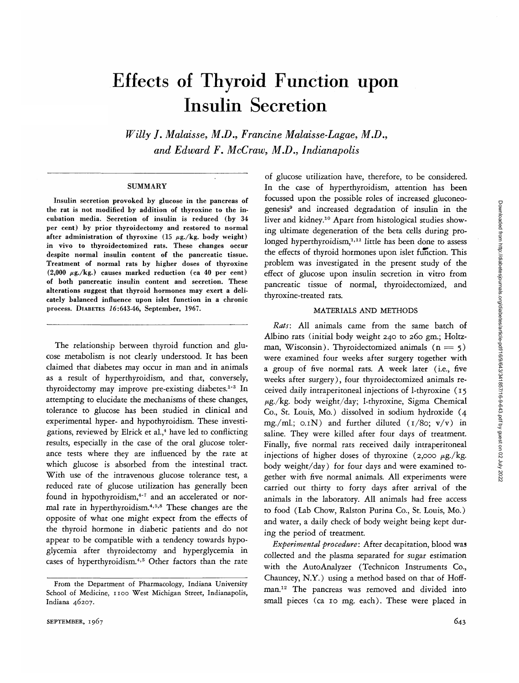# Effects of Thyroid Function upon Insulin Secretion

*Willy J. Malaisse, M.D., Francine Malaisse-Lagae, M.D., and Edward F. McCraw, M.D., Indianapolis*

#### SUMMARY

Insulin secretion provoked by glucose in the pancreas of the rat is not modified by addition of thyroxine to the incubation media. Secretion of insulin is reduced (by 34 per cent) by prior thyroidectomy and restored to normal after administration of thyroxine  $(15 \mu g./kg.$  body weight) in vivo to thyroidectomized rats. These changes occur despite normal insulin content of the pancreatic tissue. Treatment of normal rats by higher doses of thyroxine  $(2,000 \mu g./kg.)$  causes marked reduction (ca 40 per cent) of both pancreatic insulin content and secretion. These alterations suggest that thyroid hormones may exert a delicately balanced influence upon islet function in a chronic process. DIABETES *16:*643-46, September, 1967.

The relationship between thyroid function and glucose metabolism is not clearly understood. It has been claimed that diabetes may occur in man and in animals as a result of hyperthyroidism, and that, conversely, thyroidectomy may improve pre-existing diabetes.<sup>1-3</sup> In attempting to elucidate the mechanisms of these changes, tolerance to glucose has been studied in clinical and experimental hyper- and hypothyroidism. These investigations, reviewed by Elrick et al.,<sup>4</sup> have led to conflicting results, especially in the case of the oral glucose tolerance tests where they are influenced by the rate at which glucose is absorbed from the intestinal tract. With use of the intravenous glucose tolerance test, a reduced rate of glucose utilization has generally been found in hypothyroidism,<sup>4-7</sup> and an accelerated or normal rate in hyperthyroidism.<sup>4,5,8</sup> These changes are the opposite of what one might expect from the effects of the thyroid hormone in diabetic patients and do not appear to be compatible with a tendency towards hypoglycemia after thyroidectomy and hyperglycemia in cases of hyperthyroidism.<sup>4,5</sup> Other factors than the rate

of glucose utilization have, therefore, to be considered. In the case of hyperthyroidism, attention has been focussed upon the possible roles of increased gluconeogenesis9 and increased degradation of insulin in the liver and kidney.10 Apart from histological studies showing ultimate degeneration of the beta cells during prolonged hyperthyroidism,<sup>1,11</sup> little has been done to assess the effects of thyroid hormones upon islet function. This problem was investigated in the present study of the effect of glucose upon insulin secretion in vitro from pancreatic tissue of normal, thyroidectomized, and thyroxine-treated rats.

# MATERIALS AND METHODS

*Rats:* All animals came from the same batch of Albino rats (initial body weight 240 to 260 gm.; Holtzman, Wisconsin). Thyroidectomized animals  $(n = 5)$ were examined four weeks after surgery together with a group of five normal rats. A week later (i.e., five weeks after surgery), four thyroidectomized animals received daily intraperitoneal injections of 1-thyroxine (15  $\mu$ g./kg. body weight/day; 1-thyroxine, Sigma Chemical Co., St. Louis, Mo.) dissolved in sodium hydroxide (4 mg./ml.;  $o.IN$ ) and further diluted ( $1/8o$ ;  $v/v$ ) in saline. They were killed after four days of treatment. Finally, five normal rats received daily intraperitoneal injections of higher doses of thyroxine (2,000  $\mu$ g./kg. body weight/day) for four days and were examined together with five normal animals. All experiments were carried out thirty to forty days after arrival of the animals in the laboratory. All animals had free access to food (Lab Chow, Ralston Purina Co., St. Louis, Mo.) and water, a daily check of body weight being kept during the period of treatment.

*Experimental procedure:* After decapitation, blood was collected and the plasma separated for sugar estimation with the Auto Analyzer (Technicon Instruments Co., Chauncey, N.Y.) using a method based on that of Hoffman.<sup>12</sup> The pancreas was removed and divided into small pieces (ca 10 mg. each). These were placed in

From the Department of Pharmacology, Indiana University School of Medicine, 1100 West Michigan Street, Indianapolis, Indiana 46207.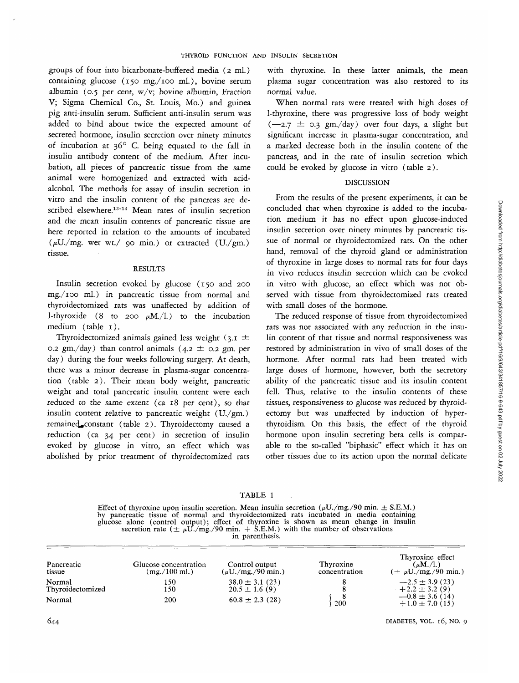groups of four into bicarbonate-buffered media (2 ml.) containing glucose (150 mg./ioo ml.), bovine serum albumin (0.5 per cent, w/v; bovine albumin, Fraction V; Sigma Chemical Co., St. Louis, Mo.) and guinea pig anti-insulin serum. Sufficient anti-insulin serum was added to bind about twice the expected amount of secreted hormone, insulin secretion over ninety minutes of incubation at  $36^{\circ}$  C. being equated to the fall in insulin antibody content of the medium. After incubation, all pieces of pancreatic tissue from the same animal were homogenized and extracted with acidalcohol. The methods for assay of insulin secretion in vitro and the insulin content of the pancreas are described elsewhere.<sup>13-14</sup> Mean rates of insulin secretion and the mean insulin contents of pancreatic tissue are here reported in relation to the amounts of incubated  $(\mu U./mg.$  wet wt./ 90 min.) or extracted (U./gm.) tissue.

#### RESULTS

Insulin secretion evoked by glucose (150 and 200 mg./ioo ml.) in pancreatic tissue from normal and thyroidectomized rats was unaffected by addition of 1-thyroxide (8 to 200  $\mu$ M./1.) to the incubation medium (table 1).

Thyroidectomized animals gained less weight (3.1 *±* 0.2 gm./day) than control animals  $(4.2 \pm 0.2 \text{ gm. per})$ day) during the four weeks following surgery. At death, there was a minor decrease in plasma-sugar concentration (table 2). Their mean body weight, pancreatic weight and total pancreatic insulin content were each reduced to the same extent (ca 18 per cent), so that insulin content relative to pancreatic weight (U./gm.) remained constant (table 2). Thyroidectomy caused a reduction (ca 34 per cent) in secretion of insulin evoked by glucose in vitro, an effect which was abolished by prior treatment of thyroidectomized rats with thyroxine. In these latter animals, the mean plasma sugar concentration was also restored to its normal value.

When normal rats were treated with high doses of 1-thyroxine, there was progressive loss of body weight  $(-2.7 \pm 0.3 \text{ gm./day})$  over four days, a slight but significant increase in plasma-sugar concentration, and a marked decrease both in the insulin content of the pancreas, and in the rate of insulin secretion which could be evoked by glucose in vitro (table 2).

# DISCUSSION

From the results of the present experiments, it can be concluded that when thyroxine is added to the incubation medium it has no effect upon glucose-induced insulin secretion over ninety minutes by pancreatic tissue of normal or thyroidectomized rats. On the other hand, removal of the thyroid gland or administration of thyroxine in large doses to normal rats for four days in vivo reduces insulin secretion which can be evoked in vitro with glucose, an effect which was not observed with tissue from thyroidectomized rats treated with small doses of the hormone.

The reduced response of tissue from thyroidectomized rats was not associated with any reduction in the insulin content of that tissue and normal responsiveness was restored by administration in vivo of small doses of the hormone. After normal rats had been treated with large doses of hormone, however, both the secretory ability of the pancreatic tissue and its insulin content fell. Thus, relative to the insulin contents of these tissues, responsiveness to glucose was reduced by thyroidectomy but was unaffected by induction of hyperthyroidism. On this basis, the effect of the thyroid hormone upon insulin secreting beta cells is comparable to the so-called "biphasic" effect which it has on other tissues due to its action upon the normal delicate

TABLE 1

| Effect of thyroxine upon insulin secretion. Mean insulin secretion $(\mu U./mg./90 \text{ min.} \pm S.E.M.)$ |
|--------------------------------------------------------------------------------------------------------------|
| by pancreatic tissue of normal and thyroidectomized rats incubated in media containing                       |
| glucose alone (control output); effect of thyroxine is shown as mean change in insulin                       |
| secretion rate ( $\pm \mu U$ ./mg./90 min. + S.E.M.) with the number of observations                         |
| in parenthesis.                                                                                              |

| Pancreatic<br>tissue | Glucose concentration<br>$(mg. / 100 \text{ ml.})$ | Control output<br>$(\mu U./mg./90 \text{ min.})$ | Thyroxine<br>concentration | Thyroxine effect<br>$(\mu M./].$<br>$(\pm \mu U./mg./90 \text{ min.})$ |
|----------------------|----------------------------------------------------|--------------------------------------------------|----------------------------|------------------------------------------------------------------------|
| Normal               | 150                                                | $38.0 \pm 3.1$ (23)                              |                            | $-2.5 \pm 3.9$ (23)                                                    |
| Thyroidectomized     | 150                                                | $20.5 \pm 1.6$ (9)                               |                            | $+2.2 \pm 3.2$ (9)                                                     |
| Normal               | 200                                                | $60.8 \pm 2.3$ (28)                              | 200                        | $-0.8 \pm 3.6$ (14)<br>$+1.0 \pm 7.0$ (15)                             |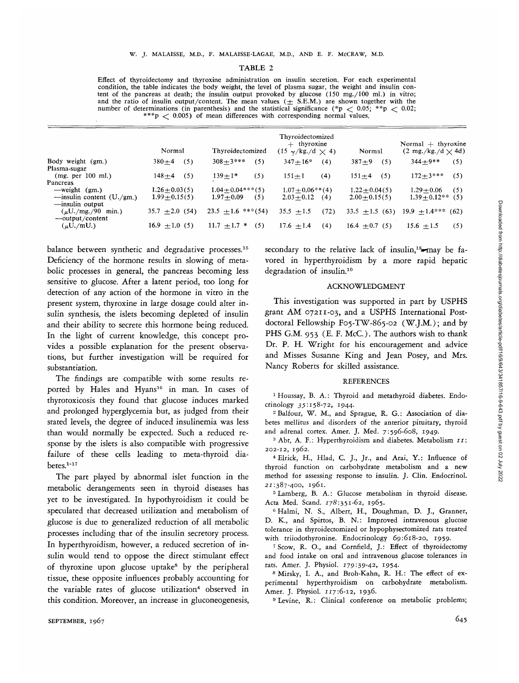## TABLE 2

Effect of thyroidectomy and thyroxine administration on insulin secretion. For each experimental condition, the table indicates the body weight, the level of plasma sugar, the weight and insulin content of the pancreas at death; the insulin output provoked by glucose (150 mg./100 ml.) in vitro; and the ratio of insulin output/content. The mean values ( $\pm$  S.E.M.) are shown together with the number of determinations

|                                                   | Normal           | Thyroidectomized      | Thyroidectomized<br>$+$ thyroxine<br>$(15 \sqrt{k}g)/d \times 4)$ | Normal           | Normal $+$ thyroxine<br>$(2 \text{ mg./kg./d} \times 4d)$ |
|---------------------------------------------------|------------------|-----------------------|-------------------------------------------------------------------|------------------|-----------------------------------------------------------|
| Body weight (gm.)                                 | $380 + 4$<br>(5) | $308 + 3***$<br>(5)   | $347+16*$<br>(4)                                                  | $387 + 9$<br>(5) | $344+9**$<br>(5)                                          |
| Plasma-sugar                                      |                  |                       |                                                                   |                  |                                                           |
| (mg. per 100 ml.)                                 | $148 + 4$<br>(5) | (5)<br>$139 + 1*$     | (4)<br>$151 + 1$                                                  | $151 + 4$<br>(5) | $172 + 3***$<br>(5)                                       |
| Pancreas                                          |                  |                       |                                                                   |                  |                                                           |
| —weight $(gm.)$                                   | $1.26 + 0.03(5)$ | $1.04 + 0.04***$ (5)  | $1.07 + 0.06**$ (4)                                               | $1.22 + 0.04(5)$ | $1.29 + 0.06$<br>(5)                                      |
| $-$ insulin content (U./gm.)<br>-insulin output   | $1.99 + 0.15(5)$ | (5)<br>$1.97 + 0.09$  | $2.03 + 0.12$<br>(4)                                              | $2.00+0.15(5)$   | $1.39 + 0.12$ ** (5)                                      |
| $(\mu U./mg./90 \text{ min.})$<br>-output/content | $35.7 + 2.0(54)$ | $23.5 + 1.6$ ***(54)  | (72)<br>$35.5 + 1.5$                                              | $33.5 + 1.5(63)$ | $19.9 + 1.4***$ (62)                                      |
| $(\mu U./mU.)$                                    | $16.9 + 1.0(5)$  | $11.7 + 1.7$ *<br>(5) | $17.6 + 1.4$<br>(4)                                               | $16.4 + 0.7(5)$  | $15.6 + 1.5$<br>(5)                                       |

balance between synthetic and degradative processes.<sup>15</sup> Deficiency of the hormone results in slowing of metabolic processes in general, the pancreas becoming less sensitive to glucose. After a latent period, too long for detection of any action of the hormone in vitro in the present system, thyroxine in large dosage could alter insulin synthesis, the islets becoming depleted of insulin and their ability to secrete this hormone being reduced. In the light of current knowledge, this concept provides a possible explanation for the present observations, but further investigation will be required for substantiation.

The findings are compatible with some results reported by Hales and Hyans<sup>16</sup> in man. In cases of thyrotoxicosis they found that glucose induces marked and prolonged hyperglycemia but, as judged from their stated levels, the degree of induced insulinemia was less than would normally be expected. Such a reduced response by the islets is also compatible with progressive failure of these cells leading to meta-thyroid diabetes. $1-17$ 

The part played by abnormal islet function in the metabolic derangements seen in thyroid diseases has yet to be investigated. In hypothyroidism it could be speculated that decreased utilization and metabolism of glucose is due to generalized reduction of all metabolic processes including that of the insulin secretory process. In hyperthyroidism, however, a reduced secretion of insulin would tend to oppose the direct stimulant effect of thyroxine upon glucose uptake<sup>8</sup> by the peripheral tissue, these opposite influences probably accounting for the variable rates of glucose utilization<sup>4</sup> observed in this condition. Moreover, an increase in gluconeogenesis,

secondary to the relative lack of insulin,<sup>18</sup>may be favored in hyperthyroidism by a more rapid hepatic degradation of insulin.10

### ACKNOWLEDGMENT

This investigation was supported in part by USPHS grant AM 07211-03, and a USPHS International Postdoctoral Fellowship F05-TW-865-02 (W.J.M.); and by PHS G.M. 953 (E. F. McC.). The authors wish to thank Dr. P. H. Wright for his encouragement and advice and Misses Susanne King and Jean Posey, and Mrs. Nancy Roberts for skilled assistance.

#### REFERENCES

<sup>1</sup> Houssay, B. A.: Thyroid and metathyroid diabetes. Endocrinology 35:158-72, 1944. <sup>2</sup>

 Balfour, W. M., and Sprague, R. G.: Association of diabetes mellitus and disorders of the anterior pituitary, thyroid and adrenal cortex. Amer. J. Med. 7:596-608, 1949.

 Abt, A. F.: Hyperthyroidism and diabetes. Metabolism *11:* 202-12, 1962. <sup>4</sup>

Elrick, H., Hlad, C. J., Jr., and Arai, Y.: Influence of thyroid function on carbohydrate metabolism and a new method for assessing response to insulin. J. Clin. Endocrinol. 21:387-400, 1961. <sup>5</sup>

 Lamberg, B. A.: Glucose metabolism in thyroid disease. Acta Med. Scand. 178:351-62, 1965.

<sup>6</sup> Halmi, N. S., Albert, H., Doughman, D. J., Granner, D. K., and Spirtos, B. N.: Improved intravenous glucose tolerance in thyroidectomized or hypophysectomized rats treated with triiodothyronine. Endocrinology 69:618-20, 1959.

<sup>7</sup> Scow, R. O., and Cornfield, J.: Effect of thyroidectomy and food intake on oral and intravenous glucose tolerances in rats. Amer. J. Physiol. 179:39-42, 1954. *<sup>8</sup>*

 Mirsky, I. A., and Broh-Kahn, R. H.: The effect of experimental hyperthyroidism on carbohydrate metabolism. Amer. J. Physiol. 117:6-12, 1936.

<sup>9</sup> Levine, R.: Clinical conference on metabolic problems;